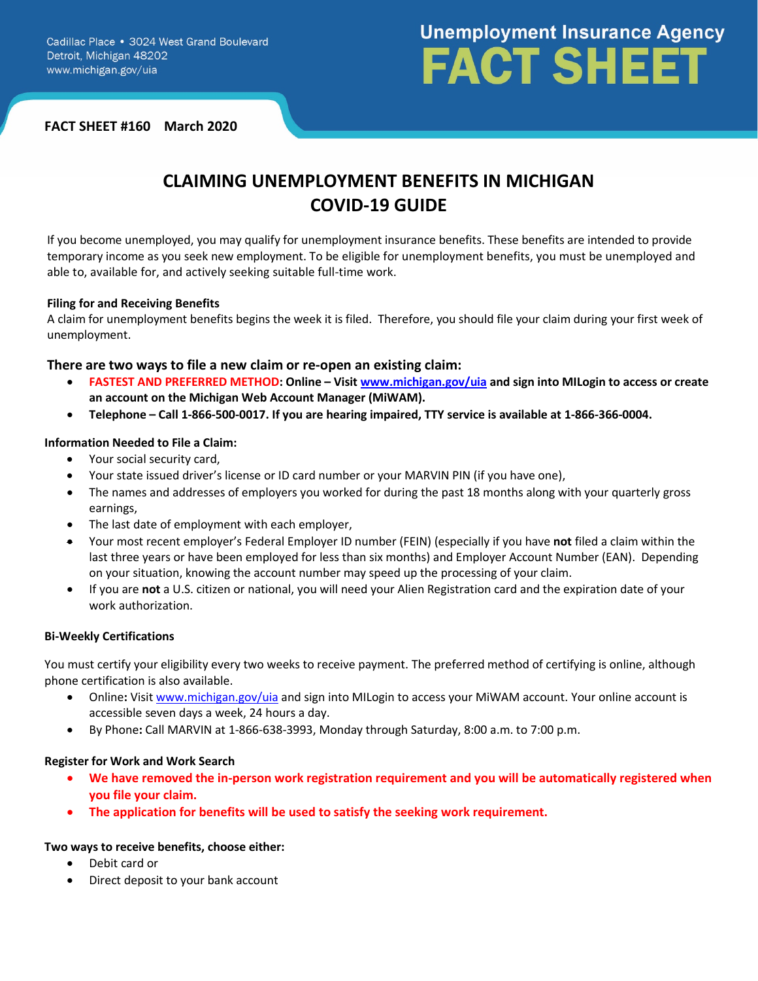# **Unemployment Insurance Agency FACT SHEET**

**FACT SHEET #160 March 2020**

## **CLAIMING UNEMPLOYMENT BENEFITS IN MICHIGAN COVID-19 GUIDE**

If you become unemployed, you may qualify for unemployment insurance benefits. These benefits are intended to provide temporary income as you seek new employment. To be eligible for unemployment benefits, you must be unemployed and able to, available for, and actively seeking suitable full-time work.

#### **Filing for and Receiving Benefits**

A claim for unemployment benefits begins the week it is filed. Therefore, you should file your claim during your first week of unemployment.

#### **There are two ways to file a new claim or re-open an existing claim:**

- **FASTEST AND PREFERRED METHOD: Online – Visit [www.michigan.gov/uia](http://www.michigan.gov/uia) and sign into MILogin to access or create an account on the Michigan Web Account Manager (MiWAM).**
- **Telephone – Call 1-866-500-0017. If you are hearing impaired, TTY service is available at 1-866-366-0004.**

#### **Information Needed to File a Claim:**

- Your social security card,
- Your state issued driver's license or ID card number or your MARVIN PIN (if you have one),
- The names and addresses of employers you worked for during the past 18 months along with your quarterly gross earnings,
- The last date of employment with each employer,
- Your most recent employer's Federal Employer ID number (FEIN) (especially if you have **not** filed a claim within the last three years or have been employed for less than six months) and Employer Account Number (EAN). Depending on your situation, knowing the account number may speed up the processing of your claim.
- If you are **not** a U.S. citizen or national, you will need your Alien Registration card and the expiration date of your work authorization.

#### **Bi-Weekly Certifications**

You must certify your eligibility every two weeks to receive payment. The preferred method of certifying is online, although phone certification is also available.

- Online**:** Visit [www.michigan.gov/uia](http://www.michigan.gov/uia) and sign into MILogin to access your MiWAM account. Your online account is accessible seven days a week, 24 hours a day.
- By Phone**:** Call MARVIN at 1-866-638-3993, Monday through Saturday, 8:00 a.m. to 7:00 p.m.

#### **Register for Work and Work Search**

- **We have removed the in-person work registration requirement and you will be automatically registered when you file your claim.**
- **The application for benefits will be used to satisfy the seeking work requirement.**

#### **Two ways to receive benefits, choose either:**

- Debit card or
- Direct deposit to your bank account